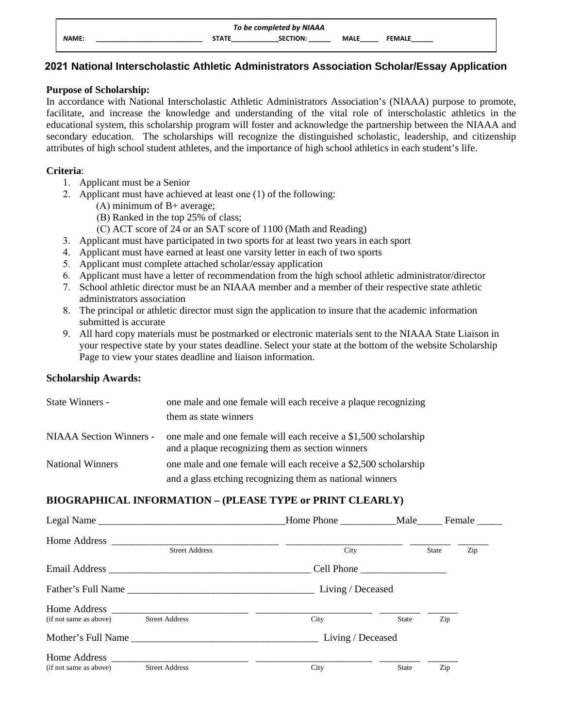| To be completed by NIAAA |  |              |                 |             |               |  |
|--------------------------|--|--------------|-----------------|-------------|---------------|--|
| <b>NAME:</b>             |  | <b>STATE</b> | <b>SECTION:</b> | <b>MALE</b> | <b>FEMALE</b> |  |

# **2021 National Interscholastic Athletic Administrators Association Scholar/Essay Application**

### **Purpose of Scholarship:**

In accordance with National Interscholastic Athletic Administrators Association's (NIAAA) purpose to promote, facilitate, and increase the knowledge and understanding of the vital role of interscholastic athletics in the educational system, this scholarship program will foster and acknowledge the partnership between the NIAAA and secondary education. The scholarships will recognize the distinguished scholastic, leadership, and citizenship attributes of high school student athletes, and the importance of high school athletics in each student's life.

### **Criteria**:

- 1. Applicant must be a Senior
- 2. Applicant must have achieved at least one (1) of the following:
	- (A) minimum of B+ average;
		- (B) Ranked in the top 25% of class;
		- (C) ACT score of 24 or an SAT score of 1100 (Math and Reading)
- 3. Applicant must have participated in two sports for at least two years in each sport
- 4. Applicant must have earned at least one varsity letter in each of two sports
- 5. Applicant must complete attached scholar/essay application
- 6. Applicant must have a letter of recommendation from the high school athletic administrator/director
- 7. School athletic director must be an NIAAA member and a member of their respective state athletic administrators association
- 8. The principal or athletic director must sign the application to insure that the academic information submitted is accurate
- 9. All hard copy materials must be postmarked or electronic materials sent to the NIAAA State Liaison in your respective state by your states deadline. Select your state at the bottom of the website Scholarship Page to view your states deadline and liaison information.

### **Scholarship Awards:**

| State Winners -         | one male and one female will each receive a plaque recognizing                                                      |  |  |
|-------------------------|---------------------------------------------------------------------------------------------------------------------|--|--|
|                         | them as state winners                                                                                               |  |  |
| NIAAA Section Winners - | one male and one female will each receive a \$1,500 scholarship<br>and a plaque recognizing them as section winners |  |  |
| <b>National Winners</b> | one male and one female will each receive a \$2,500 scholarship                                                     |  |  |
|                         | and a glass etching recognizing them as national winners                                                            |  |  |

## **BIOGRAPHICAL INFORMATION – (PLEASE TYPE or PRINT CLEARLY)**

|                        | Legal Name            | Home Phone Male   |              |              | Female ______ |
|------------------------|-----------------------|-------------------|--------------|--------------|---------------|
|                        | <b>Street Address</b> | City              |              | <b>State</b> | Zip           |
|                        |                       |                   |              |              |               |
|                        |                       | Living / Deceased |              |              |               |
| (if not same as above) | <b>Street Address</b> | City              | <b>State</b> | Zip          |               |
|                        |                       | Living / Deceased |              |              |               |
| (if not same as above) | <b>Street Address</b> | City              | <b>State</b> | Zip          |               |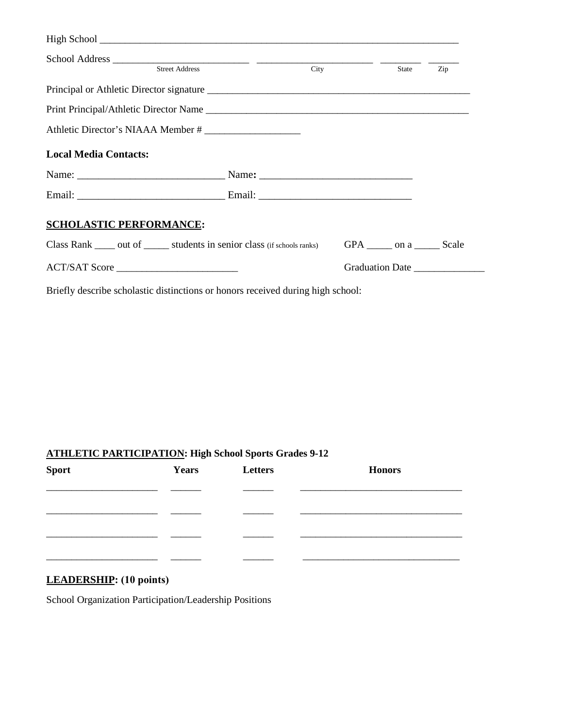| <b>Street Address</b>                                                      | City |                                 | State | Zip             |
|----------------------------------------------------------------------------|------|---------------------------------|-------|-----------------|
|                                                                            |      |                                 |       |                 |
|                                                                            |      |                                 |       |                 |
| Athletic Director's NIAAA Member #                                         |      |                                 |       |                 |
| <b>Local Media Contacts:</b>                                               |      |                                 |       |                 |
|                                                                            |      |                                 |       |                 |
|                                                                            |      |                                 |       |                 |
| <b>SCHOLASTIC PERFORMANCE:</b>                                             |      |                                 |       |                 |
| Class Rank _____ out of ______ students in senior class (if schools ranks) |      | GPA _______ on a ________ Scale |       |                 |
| ACT/SAT Score                                                              |      |                                 |       | Graduation Date |

Briefly describe scholastic distinctions or honors received during high school:

# **ATHLETIC PARTICIPATION: High School Sports Grades 9-12**

| <b>Sport</b> | Years | Letters | <b>Honors</b> |
|--------------|-------|---------|---------------|
|              |       |         |               |
|              |       |         |               |
|              |       |         |               |
|              |       |         |               |

# **LEADERSHIP: (10 points)**

School Organization Participation/Leadership Positions